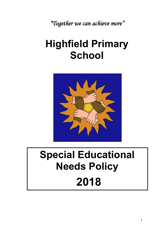*"Together we can achieve more"*

# **Highfield Primary School**



# **Special Educational Needs Policy 2018**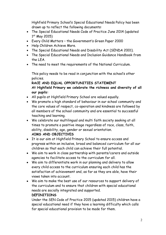Highfield Primary School's Special Educational Needs Policy has been drawn up to reflect the following documents:

- The Special Educational Needs Code of Practice June 2014 (updated  $1<sup>st</sup>$  May 2015)
- Every Child Matters the Government's Green Paper 2000
- Help Children Achieve More.
- The Special Educational Needs and Disability Act (SENDA 2001).
- The Special Educational Needs and Inclusion Guidance Handbook from the LEA.
- The need to meet the requirements of the National Curriculum.

This policy needs to be read in conjunction with the school's other policies.

**RACE AND EQUAL OPPORTUNITIES STATEMENT At Highfield Primary we celebrate the richness and diversity of all our pupils:**

- All pupils at Highfield Primary School are valued equally.
- We promote a high standard of behaviour in our school community and the core values of respect, co-operation and kindness are followed by all members of the school community and are essential to successful teaching and learning.
- We celebrate our multilingual and multi faith society seeking at all times to promote a positive image regardless of race, class, faith, ability, disability, age, gender or sexual orientation.

# **AIMS AND OBJECTIVES**

- It is our aim at Highfield Primary School to ensure access and progress within an inclusive, broad and balanced curriculum for all our children so that each child can achieve their full potential.
- We aim to work in close partnership with parents/carers and outside agencies to facilitate access to the curriculum for all.
- We aim to differentiate work in our planning and delivery to allow every child access to the curriculum ensuring each child has the satisfaction of achievement and, as far as they are able, have their views taken into account.
- We aim to make the best use of our resources to support delivery of the curriculum and to ensure that children with special educational needs are socially integrated and supported.

# **DEFINITIONS**

Under the SEN Code of Practice 2015 (updated 2015) children have a special educational need if they have a learning difficulty which calls for special educational provision to be made for them.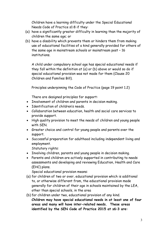Children have a learning difficulty under the Special Educational Needs Code of Practice s1:8 if they:

- (a) have a significantly greater difficulty in learning than the majority of children the same age; or
- (b) have a disability which prevents them or hinders them from making use of educational facilities of a kind generally provided for others of the same age in mainstream schools or mainstream post – 16 institutions.

A child under compulsory school age has special educational needs if they fall within the definition at (a) or (b) above or would so do if special educational provision was not made for them (Clause 20 Children and Families Bill).

Principles underpinning the Code of Practice (page 19 point 1.2)

There are designed principles for support:

- Involvement of children and parents in decision making.
- Identification of children's needs.
- Collaboration between education, health and social care services to provide support.
- High quality provision to meet the needs of children and young people with SEN.
- Greater choice and control for young people and parents over the support.
- Successful preparation for adulthood including independent living and employment.

Statutory rights:

- Involving children, parents and young people in decision making.
- Parents and children are actively supported in contributing to needs assessments and developing and reviewing Education, Health and Care (EHC) plans.

Special educational provision means:

- (a) for children of two or over, educational provision which is additional to, or otherwise different from, the educational provision made generally for children of their age in schools maintained by the LEA, other than special schools, in the area
- (b) for children under two, educational provision of any kind. **Children may have special educational needs in at least one of four areas and many will have inter-related needs. These areas identified by the SEN Code of Practice 2015 at s6:3 are:**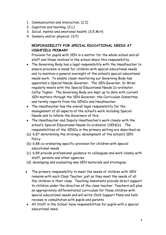- 1. Communication and interaction. (C.I)
- 2. Cognition and learning. (C.L)
- 3. Social, mental and emotional health. (S.E.M.H)
- 4. Sensory and/or physical. (S.P)

# **RESPONSIBILITY FOR SPECIAL EDUCATIONAL NEEDS AT HIGHFIELD PRIMARY**

Provision for pupils with SEN is a matter for the whole school and all staff and those involved in the school share this responsibility.

- The Governing Body has a legal responsibility with the Headteacher to ensure provision is made for children with special educational needs and to maintain a general oversight of the school's special educational needs work. To enable closer monitoring our Governing Body has appointed a Special Needs Governor. The SEN Governor, Di Wren regularly meets with the Special Educational Needs Co-ordinator, Cathy Togher. The Governing Body are kept up to date with current SEN matters through the SEN Governor, the Curriculum Committee and termly reports from the SENCo and Headteacher.
- The Headteacher has the overall legal responsibility for the management of all aspects of the school's work including Special Needs and to inform the Governors of this.
- The Headteacher and Deputy Headteacher's work closely with the school's Special Educational Needs Co-ordinator (SENCo). The responsibilities of the SENCo in the primary setting are described as:
- (a) 6.87 determining the strategic development of the school's SEN Policy
- (b) 6.88 co-ordinating specific provision for children with special educational needs
- (c) 6.89 provide professional guidance to colleagues and work closely with staff, parents and other agencies
- (d) developing and evaluating new SEN materials and strategies.
- The primary responsibility to meet the needs of children with SEN remains with each Class Teacher just as they meet the needs of all the children in their class. Teaching Assistants provide direct support to children under the direction of the class teacher. Teachers will plan an appropriately differentiated curriculum for those children with special educational needs and will write Child Support Plans and hold reviews in consultation with pupils and parents.
- All Staff in the School have responsibilities for pupils with a special educational need.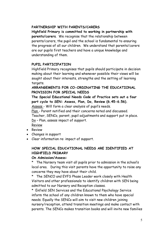#### **PARTNERSHIP WITH PARENTS/CARERS**

**Highfield Primary is committed to working in partnership with parents/carers**. We recognise that the relationship between parents/carers, the pupil and the school is fundamental to ensuring the progress of all our children. We understand that parents/carers are our pupils first teachers and have a unique knowledge and understanding of them.

#### **PUPIL PARTICIPATION**

Highfield Primary recognises that pupils should participate in decision making about their learning and whenever possible their views will be sought about their interests, strengths and the setting of learning targets.

# **ARRANGEMENTS FOR CO-ORDINATING THE EDUCATIONAL PROVISION FOR SPECIAL NEEDS**

**The Special Educational Needs Code of Practice sets out a four part cycle to SEN: Assess, Plan, Do, Review (6.45-6.56).**

Assess - Will form a clear analysis of pupil's needs.

Plan - Parent notified and their concerns noted and discussed. Teacher, SENCo, parent, pupil adjustments and support put in place.

Do – Plan, assess impact of support.

Review

- Review
- Changes in support
- Clear information re: impact of support.

# **HOW SPECIAL EDUCATIONAL NEEDS ARE IDENTIFIED AT HIGHFIELD PRIMARY**

#### **On Admission/Assess:**

\* The Nursery team visit all pupils prior to admission in the school's local area. During this visit parents have the opportunity to raise any concerns they may have about their child.

\* The SENCO and EYFS Phase Leader work closely with Health Visitors and other professionals to identify children with SEN being admitted to our Nursery and Reception classes.

\* Enfield SEN Services and the Educational Psychology Service inform the school of any children known to them who have special needs. Equally the SENCo will aim to visit new children joining nursery/reception, attend transition meetings and make contact with parents. The SENCo makes transition books and will invite new families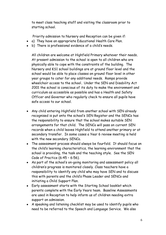to meet class teaching staff and visiting the classroom prior to starting school.

Priority admission to Nursery and Reception can be given if:

- a) They have an appropriate Educational Health Care Plan.
- b) There is professional evidence of a child's needs.

All children are welcome at Highfield Primary whatever their needs**.** At present admission to the school is open to all children who are physically able to cope with the constraints of the building. The Nursery and KS1 school buildings are at ground floor level and the school would be able to place classes on ground floor level in other year groups to cater for any additional needs. Ramps provide wheelchair access to the school**.** Under the SEN and Disability Act 2001 the school is conscious of its duty to make the environment and curriculum as accessible as possible and has a Health and Safety Officer and Governor who regularly check to ensure all pupils have safe access to our school.

- Any child entering Highfield from another school with SEN already recognised is put onto the school's SEN Register and the SENCo has the responsibility to ensure that the school makes suitable SEN arrangements for that child. The SENCo will pass on current SEN records when a child leaves Highfield to attend another primary or at secondary transfer. In some cases a Year 6 review meeting is held with the new secondary SENCo.
- The assessment process should always be fourfold. It should focus on the child's learning characteristics, the learning environment that the school is providing, the task and the teaching style. See the SEN Code of Practice (6:45 – 6:56).
- As part of the school's on-going monitoring and assessment policy all children's progress is monitored closely. Class teachers have a responsibility to identify any child who may have SEN and to discuss this with parents and the child's Phase Leader and SENCo and initiating a Child Support Plan.
- Early assessment starts with the Starting School booklet which parents complete with the Early Years team. Baseline Assessments are used in Reception to help inform us of children needing extra support on admission.
- A speaking and listening checklist may be used to identify pupils who need to be referred to the Speech and Language Service. We also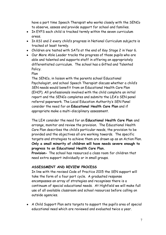have a part time Speech Therapist who works closely with the SENCo to observe, assess and provide support for school and families.

- In EYFS each child is tracked termly within the seven curriculum areas.
- In KS1 and 2 every child's progress in National Curriculum subjects is tracked at least termly.
- Children are tested with SATs at the end of Key Stage 2 in Year 6.
- Our More Able Leader tracks the progress of those pupils who are able and talented and supports staff in offering an appropriately differentiated curriculum. The school has a Gifted and Talented Policy.

Plan

The SENCo, in liaison with the parents school Educational Psychologist, and school Speech Therapist discuss whether a child's SEN needs would benefit from an Educational Health Care Plan (EHCP). All professionals involved with the child complete an initial report and the SENCo completes and submits the LEA's SEN panel referral paperwork. The Local Education Authority's SEN Panel consider the need for an **Educational Health Care Plan** and if appropriate make a multi-disciplinary assessment.

The LEA consider the need for an **Educational Health Care Plan** and arrange, monitor and review the provision. The Educational Health Care Plan describes the child's particular needs, the provision to be provided and the objectives all are working towards. The specific targets and strategies to achieve them are drawn up as an Action Plan. **Only a small minority of children will have needs severe enough to progress to an Educational Health Care Plan.**

**Provision-** The school has resourced a class room for children that need extra support individually or in small groups.

# **ASSESSMENT AND REVIEW PROCESS**

In line with the revised Code of Practice 2015 the SEN support will take the form of a four part cycle. A graduated response encompasses an array of strategies and recognises there is a continuum of special educational needs. At Highfield we will make full use of all available classroom and school resources before calling on outside agencies.

• A Child Support Plan sets targets to support the pupil's area of special educational need which are reviewed and evaluated twice a year.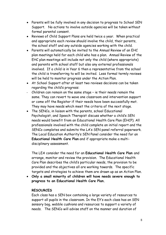- Parents will be fully involved in any decision to progress to School SEN Support. No actions to involve outside agencies will be taken without formal parental consent.
- Reviews of Child Support Plans are held twice a year. When practical and appropriate each review should involve the child, their parents, the school staff and any outside agencies working with the child.
- Parents will automatically be invited to the Annual Review of an EHC plan meetings held for each child who has a plan. Annual Review of the EHC plan meetings will include not only the child (where appropriate) and parents with school staff but also any external professionals involved. If a child is in Year 6 then a representative from the school the child is transferring to will be invited. Less formal termly reviews will be held to monitor progress under the Action Plan.
- At School Support after at least two reviews decisions can be taken regarding the child's progress:
- Children can remain on the same stage ie their needs remain the same. They can revert to wave one classroom and intervention support or come off the Register if their needs have been successfully met. They may have needs which meet the criteria of the next stage.
- The SENCo, in liaison with the parents, school Educational Psychologist, and Speech Therapist discuss whether a child's SEN needs would benefit from an Educational Health Care Plan (EHCP). All professionals involved with the child complete an initial report and the SENCo completes and submits the LA's SEN panel referral paperwork. The Local Education Authority's SEN Panel consider the need for an **Educational Health Care Plan** and if appropriate make a multidisciplinary assessment.

The LEA consider the need for an **Educational Health Care Plan** and arrange, monitor and review the provision. The Educational Health Care Plan describes the child's particular needs, the provision to be provided and the objectives all are working towards. The specific targets and strategies to achieve them are drawn up as an Action Plan.

• **Only a small minority of children will have needs severe enough to progress to an Educational Health Care Plan.**

#### **RESOURCES**

Each class has a SEN box containing a large variety of resources to support all pupils in the classroom. In the EY's each class has an SEN sensory bag, wobble cushions and resources to support a variety of needs. The SENCo will advise staff on the manner and duration of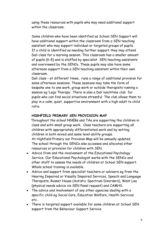using these resources with pupils who may need additional support within the classroom.

Some children who have been identified as School SEN Support will have additional support within the classroom from a SEN teaching assistant who may support individual or targeted groups of pupils. If a child is identified as needing further support they may attend Dali class for a morning session. This classroom has a smaller amount of pupils (6-8) and is staffed by specialist SEN teaching assistants and overviewed by the SENCo. These pupils may also have some afternoon support from a SEN teaching assistant within their own classroom.

Dali class – at different times, runs a range of additional provision for some afternoon sessions. These sessions may take the form of bespoke one to one work, group work or outside therapists running a session eg 'Lego Therapy'. There is also a Dali lunchtime club for pupils who can find social situations stressful. The club allows them to play in a calm, quiet, supportive environment with a high adult to child ratio.

### **HIGHFIELD PRIMARY SEN PROVISION MAP**

 Throughout the school NNEBs and TAs are supporting the children in class and with small group work. Class teachers are supporting all children with appropriately differentiated work and by setting children in both mixed and same level ability groups. At Highfield Primary our Provision Map will be annually updated.

The school through the SENCo also accesses and allocates other resources or provision for children with SEN.

- Advice from and the involvement of the Educational Psychology Service. Our Educational Psychologist works with the SENCo and other staff to assess the needs of children at School SEN support. Whole school training is available.
- Advice and support from specialist teachers or advisors eg from the Hearing Impaired or Visually Impaired Services, Speech and Language Therapists, Russet House (Autistic Spectrum Disorders), West Lea (physical needs advice via SEN Panel request) and CAMHS.
- The advice and involvement of any other agencies dealing with a specific child eg Social Care, Education Welfare, Health Services etc..
- There is targeted support available for some children at School SEN support from the Behaviour Support Service.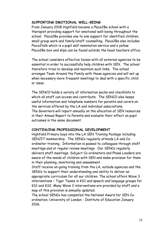#### **SUPPORTING EMOTIONAL WELL-BEING**

From January 2018 Highfield became a Place2Be school with a therapist providing support for emotional well-being throughout the school. Place2Be provides one to one support for identified children, small group work and family/staff counselling. Place2Be also includes Place2talk which is a pupil self-nomination service and a yellow Place2Be box and slips can be found outside the head teachers office.

The school considers effective liaison with all external agencies to be essential in order to successfully help children with SEN. The school therefore tries to develop and maintain such links. The school arranges Team Around the Family with these agencies and will set up when necessary more frequent meetings to deal with a specific child or issue.

The SENCO holds a variety of information packs and checklists to which all staff can access and contribute. The SENCO also keeps useful information and telephone numbers for parents and carers on the services offered by the LA and individual associations. The Governors will report annually on the allocation of SEN resources in their Annual Report to Parents and evaluate their effect on pupil outcomes in the same document.

#### **CONTINUING PROFESSIONAL DEVELOPMENT**

Highfield Primary buys into the LA SEN Training Package including SENJIT membership. The SENCo regularly attends LA and Coordinator training. Information is passed to colleagues through staff meetings and at regular review meetings. Our SENCo regularly delivers staff meetings. Subject Co-ordinators and Phase Leaders are aware of the needs of children with SEN and make provision for them in their planning, monitoring and assessment.

Staff receive on-going training from the LA, outside agencies and the SENCo to support their understanding and ability to deliver an appropriate curriculum for all our children. The school offers Wave 3 interventions – Tiger Teams in KS1 and speech and language groups for KS1 and KS2. Many Wave 2 interventions are provided by staff and a map of this provision is annually updated.

The school SENCo has completed the National Award for SEN Coordination, University of London - Institute of Education January 2016.